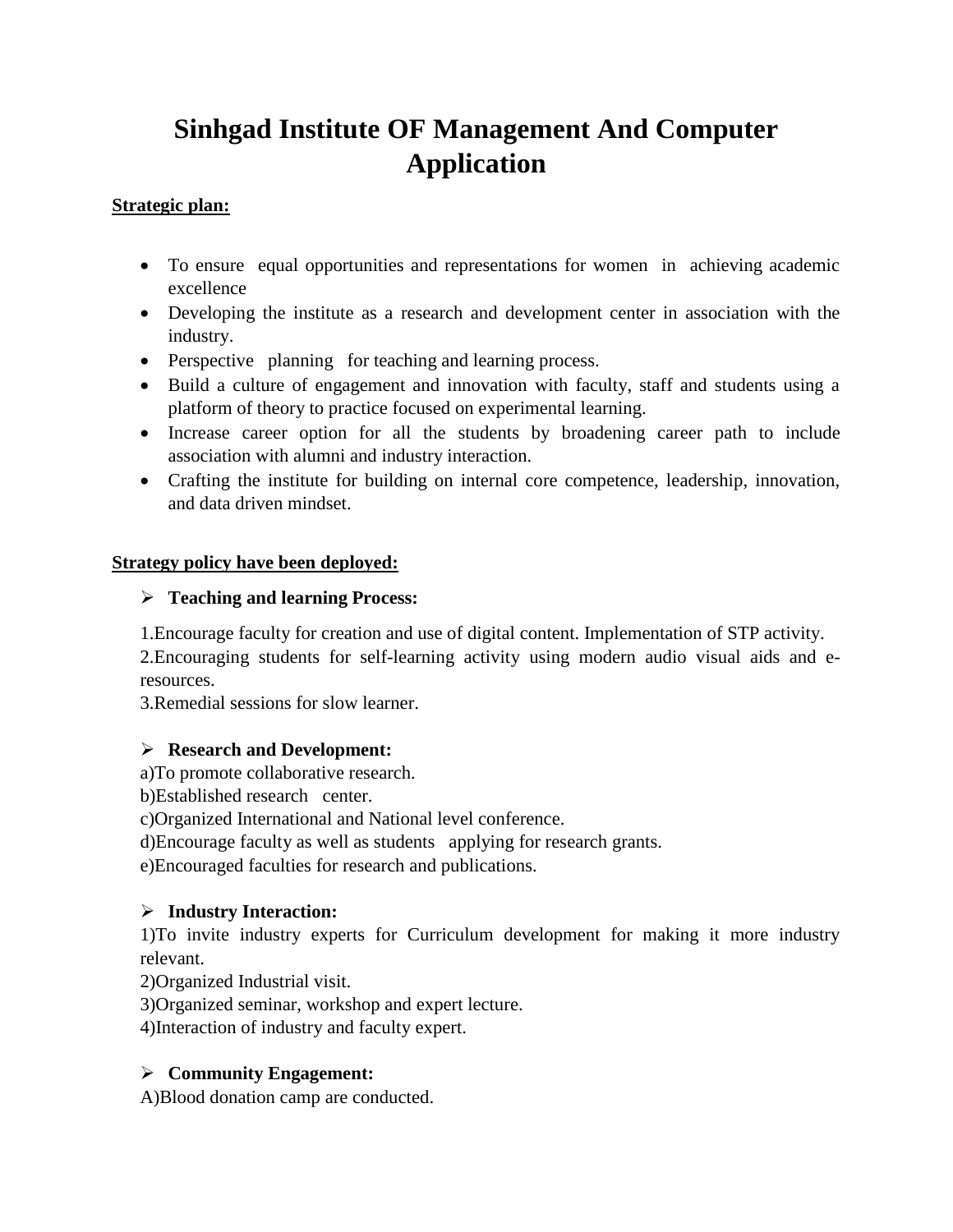# **Sinhgad Institute OF Management And Computer Application**

#### **Strategic plan:**

- To ensure equal opportunities and representations for women in achieving academic excellence
- Developing the institute as a research and development center in association with the industry.
- Perspective planning for teaching and learning process.
- Build a culture of engagement and innovation with faculty, staff and students using a platform of theory to practice focused on experimental learning.
- Increase career option for all the students by broadening career path to include association with alumni and industry interaction.
- Crafting the institute for building on internal core competence, leadership, innovation, and data driven mindset.

## **Strategy policy have been deployed:**

# ➢ **Teaching and learning Process:**

1.Encourage faculty for creation and use of digital content. Implementation of STP activity. 2.Encouraging students for self-learning activity using modern audio visual aids and eresources.

3.Remedial sessions for slow learner.

#### ➢ **Research and Development:**

a)To promote collaborative research.

b)Established research center.

c)Organized International and National level conference.

d)Encourage faculty as well as students applying for research grants.

e)Encouraged faculties for research and publications.

# ➢ **Industry Interaction:**

1)To invite industry experts for Curriculum development for making it more industry relevant.

2)Organized Industrial visit.

3)Organized seminar, workshop and expert lecture.

4)Interaction of industry and faculty expert.

# ➢ **Community Engagement:**

A)Blood donation camp are conducted.